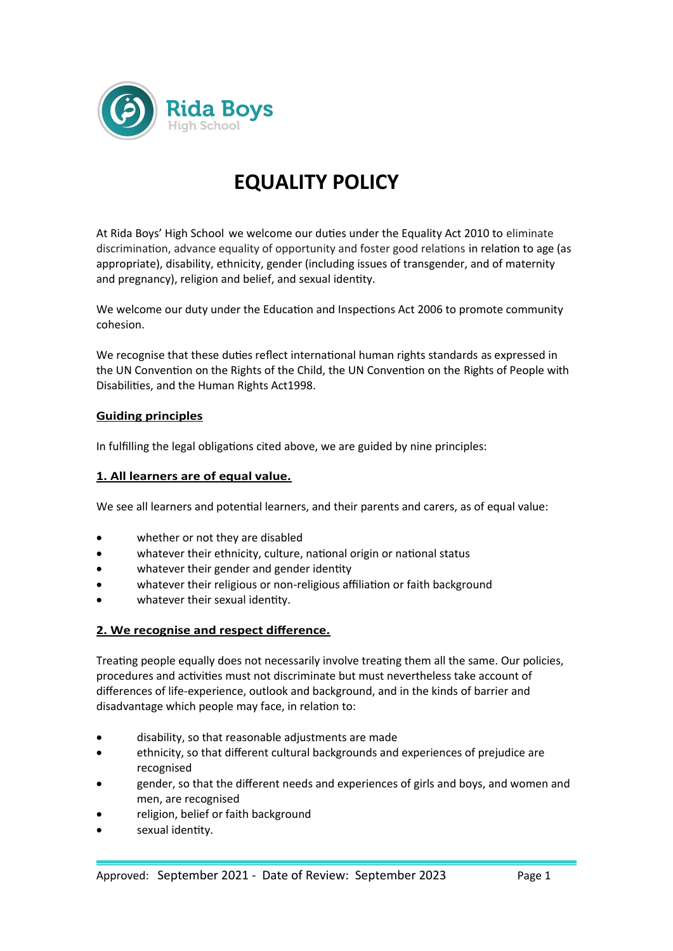

# **EQUALITY POLICY**

At Rida Boys' High School we welcome our duties under the Equality Act 2010 to eliminate discrimination, advance equality of opportunity and foster good relations in relation to age (as appropriate), disability, ethnicity, gender (including issues of transgender, and of maternity and pregnancy), religion and belief, and sexual identity.

We welcome our duty under the Education and Inspections Act 2006 to promote community cohesion.

We recognise that these duties reflect international human rights standards as expressed in the UN Convention on the Rights of the Child, the UN Convention on the Rights of People with Disabilities, and the Human Rights Act1998.

## **Guiding principles**

In fulfilling the legal obligations cited above, we are guided by nine principles:

#### **1. All learners are of equal value.**

We see all learners and potential learners, and their parents and carers, as of equal value:

- whether or not they are disabled
- whatever their ethnicity, culture, national origin or national status
- whatever their gender and gender identity
- whatever their religious or non-religious affiliation or faith background
- whatever their sexual identity.

## **2. We recognise and respect difference.**

Treating people equally does not necessarily involve treating them all the same. Our policies, procedures and activities must not discriminate but must nevertheless take account of differences of life-experience, outlook and background, and in the kinds of barrier and disadvantage which people may face, in relation to:

- disability, so that reasonable adjustments are made
- ethnicity, so that different cultural backgrounds and experiences of prejudice are recognised
- gender, so that the different needs and experiences of girls and boys, and women and men, are recognised
- religion, belief or faith background
- sexual identity.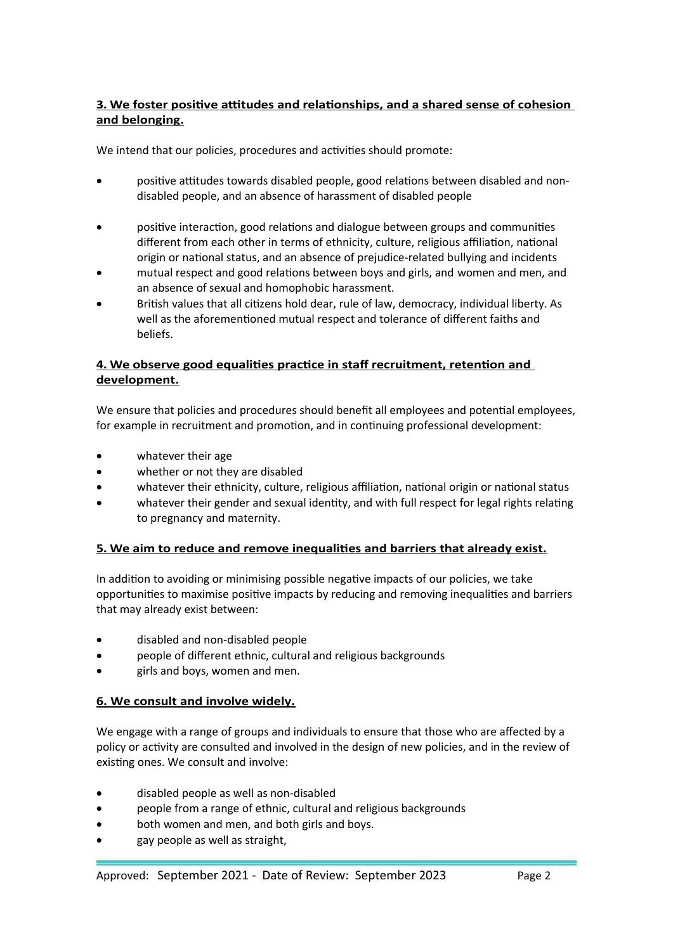# **3. We foster positive attitudes and relationships, and a shared sense of cohesion and belonging.**

We intend that our policies, procedures and activities should promote:

- positive attitudes towards disabled people, good relations between disabled and nondisabled people, and an absence of harassment of disabled people
- positive interaction, good relations and dialogue between groups and communities different from each other in terms of ethnicity, culture, religious affiliation, national origin or national status, and an absence of prejudice-related bullying and incidents
- mutual respect and good relations between boys and girls, and women and men, and an absence of sexual and homophobic harassment.
- British values that all citizens hold dear, rule of law, democracy, individual liberty. As well as the aforementioned mutual respect and tolerance of different faiths and beliefs.

# **4. We observe good equalities practice in staff recruitment, retention and development.**

We ensure that policies and procedures should benefit all employees and potential employees, for example in recruitment and promotion, and in continuing professional development:

- whatever their age
- whether or not they are disabled
- whatever their ethnicity, culture, religious affiliation, national origin or national status
- whatever their gender and sexual identity, and with full respect for legal rights relating to pregnancy and maternity.

# **5. We aim to reduce and remove inequalities and barriers that already exist.**

In addition to avoiding or minimising possible negative impacts of our policies, we take opportunities to maximise positive impacts by reducing and removing inequalities and barriers that may already exist between:

- disabled and non-disabled people
- people of different ethnic, cultural and religious backgrounds
- girls and boys, women and men.

## **6. We consult and involve widely.**

We engage with a range of groups and individuals to ensure that those who are affected by a policy or activity are consulted and involved in the design of new policies, and in the review of existing ones. We consult and involve:

- disabled people as well as non-disabled
- people from a range of ethnic, cultural and religious backgrounds
- both women and men, and both girls and boys.
- gay people as well as straight,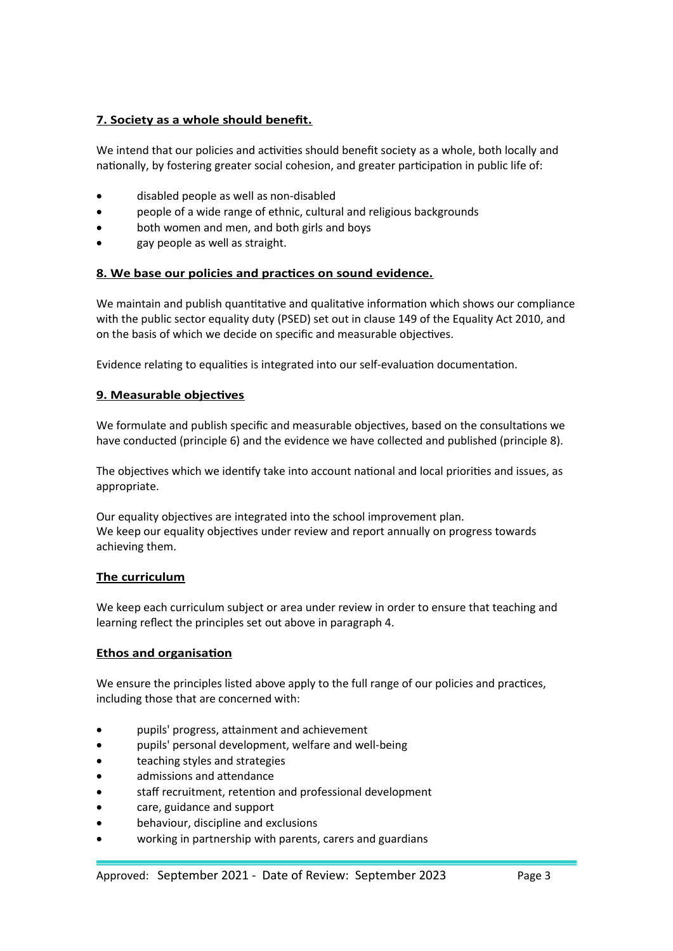# **7. Society as a whole should benefit.**

We intend that our policies and activities should benefit society as a whole, both locally and nationally, by fostering greater social cohesion, and greater participation in public life of:

- disabled people as well as non-disabled
- people of a wide range of ethnic, cultural and religious backgrounds
- both women and men, and both girls and boys
- gay people as well as straight.

## **8. We base our policies and practices on sound evidence.**

We maintain and publish quantitative and qualitative information which shows our compliance with the public sector equality duty (PSED) set out in clause 149 of the Equality Act 2010, and on the basis of which we decide on specific and measurable objectives.

Evidence relating to equalities is integrated into our self-evaluation documentation.

## **9. Measurable objectives**

We formulate and publish specific and measurable objectives, based on the consultations we have conducted (principle 6) and the evidence we have collected and published (principle 8).

The objectives which we identify take into account national and local priorities and issues, as appropriate.

Our equality objectives are integrated into the school improvement plan. We keep our equality objectives under review and report annually on progress towards achieving them.

## **The curriculum**

We keep each curriculum subject or area under review in order to ensure that teaching and learning reflect the principles set out above in paragraph 4.

## **Ethos and organisation**

We ensure the principles listed above apply to the full range of our policies and practices, including those that are concerned with:

- pupils' progress, attainment and achievement
- pupils' personal development, welfare and well-being
- teaching styles and strategies
- admissions and attendance
- staff recruitment, retention and professional development
- care, guidance and support
- behaviour, discipline and exclusions
- working in partnership with parents, carers and guardians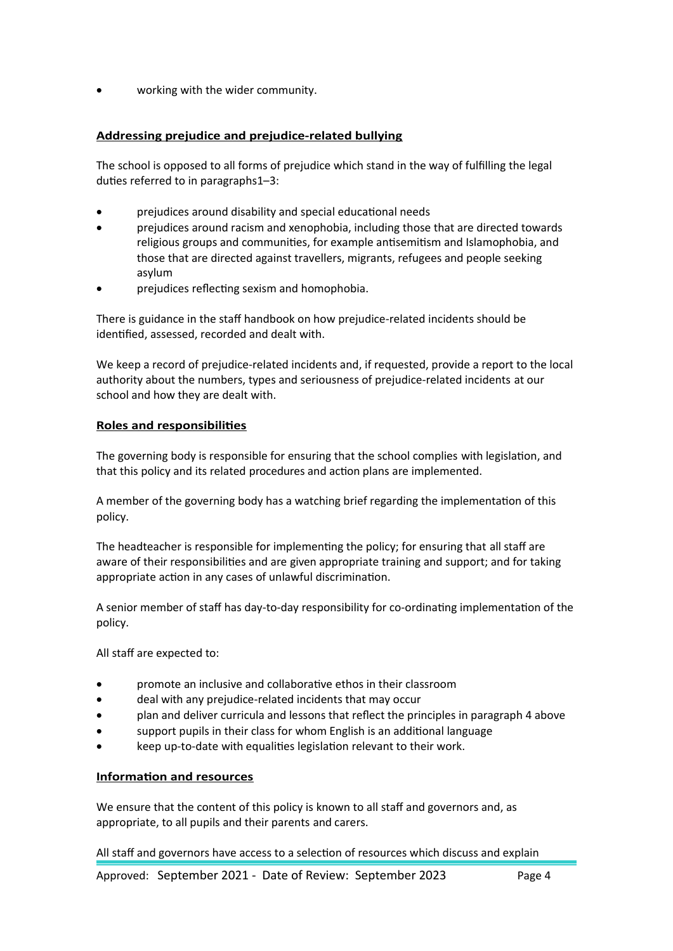working with the wider community.

#### **Addressing prejudice and prejudice-related bullying**

The school is opposed to all forms of prejudice which stand in the way of fulfilling the legal duties referred to in paragraphs1–3:

- prejudices around disability and special educational needs
- prejudices around racism and xenophobia, including those that are directed towards religious groups and communities, for example antisemitism and Islamophobia, and those that are directed against travellers, migrants, refugees and people seeking asylum
- prejudices reflecting sexism and homophobia.

There is guidance in the staff handbook on how prejudice-related incidents should be identified, assessed, recorded and dealt with.

We keep a record of prejudice-related incidents and, if requested, provide a report to the local authority about the numbers, types and seriousness of prejudice-related incidents at our school and how they are dealt with.

#### **Roles and responsibilities**

The governing body is responsible for ensuring that the school complies with legislation, and that this policy and its related procedures and action plans are implemented.

A member of the governing body has a watching brief regarding the implementation of this policy.

The headteacher is responsible for implementing the policy; for ensuring that all staff are aware of their responsibilities and are given appropriate training and support; and for taking appropriate action in any cases of unlawful discrimination.

A senior member of staff has day-to-day responsibility for co-ordinating implementation of the policy.

All staff are expected to:

- promote an inclusive and collaborative ethos in their classroom
- deal with any prejudice-related incidents that may occur
- plan and deliver curricula and lessons that reflect the principles in paragraph 4 above
- support pupils in their class for whom English is an additional language
- keep up-to-date with equalities legislation relevant to their work.

#### **Information and resources**

We ensure that the content of this policy is known to all staff and governors and, as appropriate, to all pupils and their parents and carers.

All staff and governors have access to a selection of resources which discuss and explain

Approved: September 2021 - Date of Review: September 2023 Page 4